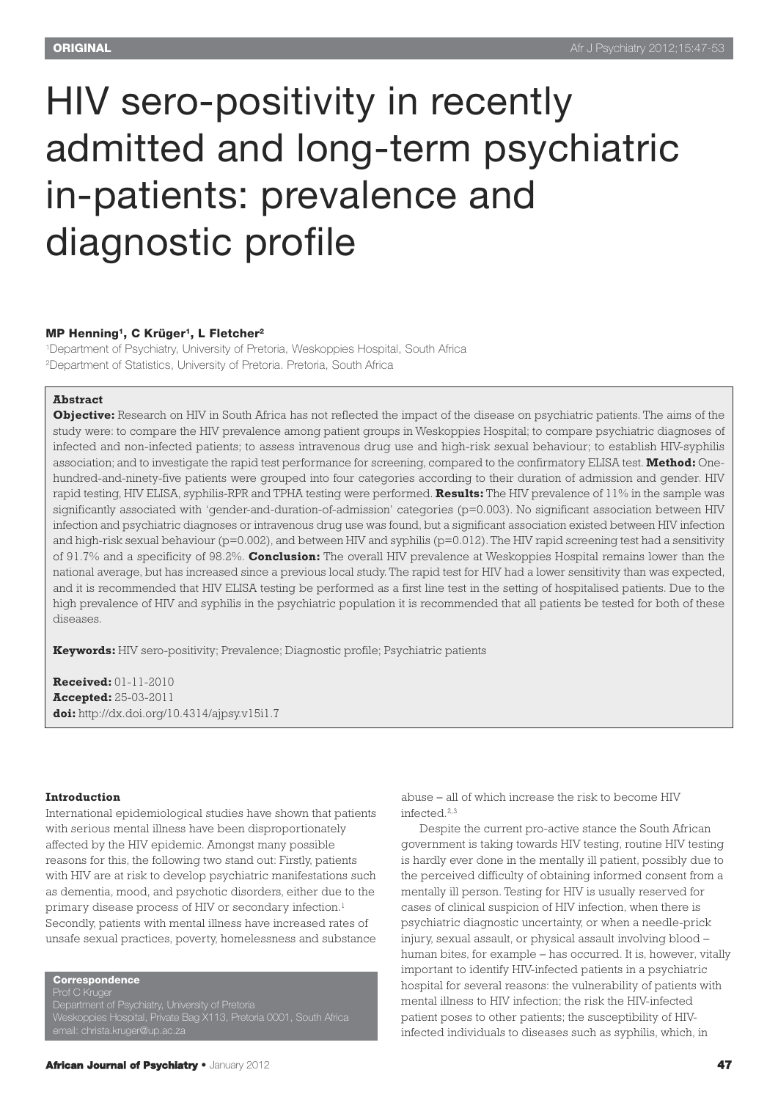### HIV sero-positivity in recently admitted and long-term psychiatric in-patients: prevalence and diagnostic profile

#### **MP Henning1, C Krüger1, L Fletcher2**

1Department of Psychiatry, University of Pretoria, Weskoppies Hospital, South Africa 2Department of Statistics, University of Pretoria. Pretoria, South Africa

#### **Abstract**

**Objective:** Research on HIV in South Africa has not reflected the impact of the disease on psychiatric patients. The aims of the study were: to compare the HIV prevalence among patient groups in Weskoppies Hospital; to compare psychiatric diagnoses of infected and non-infected patients; to assess intravenous drug use and high-risk sexual behaviour; to establish HIV-syphilis association; and to investigate the rapid test performance for screening, compared to the confirmatory ELISA test. **Method:** Onehundred-and-ninety-five patients were grouped into four categories according to their duration of admission and gender. HIV rapid testing, HIV ELISA, syphilis-RPR and TPHA testing were performed. **Results:** The HIV prevalence of 11% in the sample was significantly associated with 'gender-and-duration-of-admission' categories (p=0.003). No significant association between HIV infection and psychiatric diagnoses or intravenous drug use was found, but a significant association existed between HIV infection and high-risk sexual behaviour (p=0.002), and between HIV and syphilis (p=0.012). The HIV rapid screening test had a sensitivity of 91.7% and a specificity of 98.2%. **Conclusion:** The overall HIV prevalence at Weskoppies Hospital remains lower than the national average, but has increased since a previous local study. The rapid test for HIV had a lower sensitivity than was expected, and it is recommended that HIV ELISA testing be performed as a first line test in the setting of hospitalised patients. Due to the high prevalence of HIV and syphilis in the psychiatric population it is recommended that all patients be tested for both of these diseases.

**Keywords:** HIV sero-positivity; Prevalence; Diagnostic profile; Psychiatric patients

**Received:** 01-11-2010 **Accepted:** 25-03-2011 **doi:** http://dx.doi.org/10.4314/ajpsy.v15i1.7

#### **Introduction**

International epidemiological studies have shown that patients with serious mental illness have been disproportionately affected by the HIV epidemic. Amongst many possible reasons for this, the following two stand out: Firstly, patients with HIV are at risk to develop psychiatric manifestations such as dementia, mood, and psychotic disorders, either due to the primary disease process of HIV or secondary infection. 1 Secondly, patients with mental illness have increased rates of unsafe sexual practices, poverty, homelessness and substance

#### **Correspondence**

rof C Kruge Department of Psychiatry, University of Pretoria abuse – all of which increase the risk to become HIV infected. 2,3

Despite the current pro-active stance the South African government is taking towards HIV testing, routine HIV testing is hardly ever done in the mentally ill patient, possibly due to the perceived difficulty of obtaining informed consent from a mentally ill person. Testing for HIV is usually reserved for cases of clinical suspicion of HIV infection, when there is psychiatric diagnostic uncertainty, or when a needle-prick injury, sexual assault, or physical assault involving blood – human bites, for example – has occurred. It is, however, vitally important to identify HIV-infected patients in a psychiatric hospital for several reasons: the vulnerability of patients with mental illness to HIV infection; the risk the HIV-infected patient poses to other patients; the susceptibility of HIVinfected individuals to diseases such as syphilis, which, in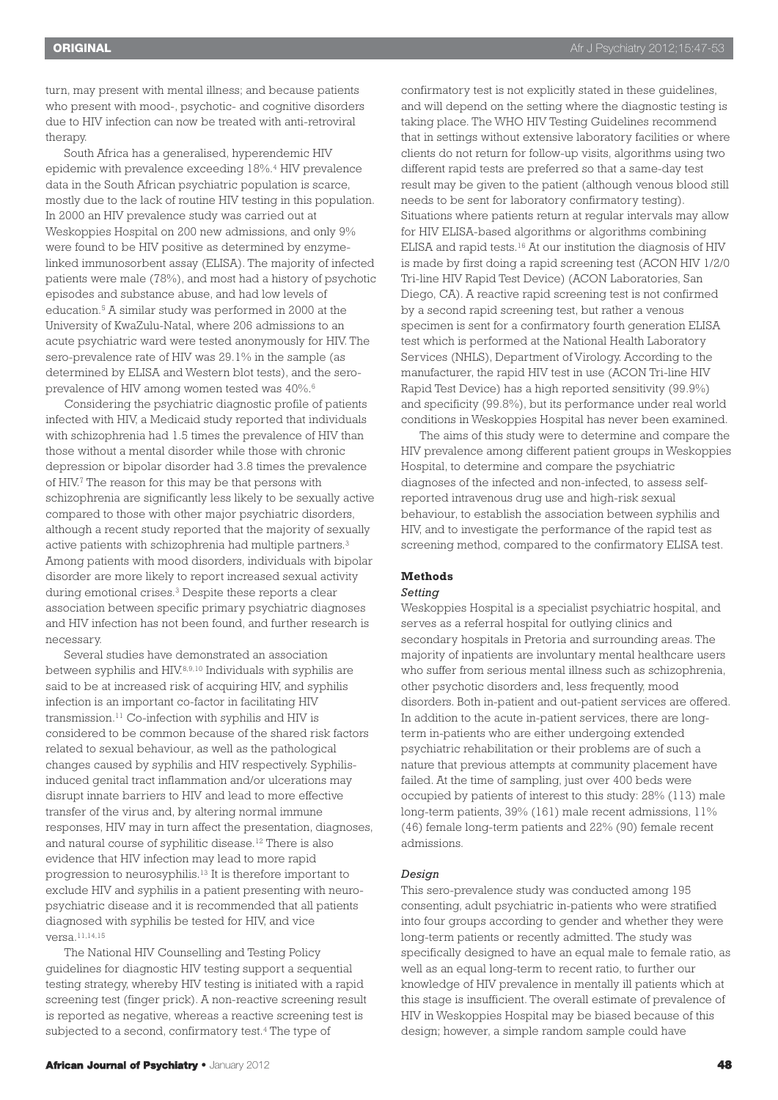turn, may present with mental illness; and because patients who present with mood-, psychotic- and cognitive disorders due to HIV infection can now be treated with anti-retroviral therapy.

South Africa has a generalised, hyperendemic HIV epidemic with prevalence exceeding 18%. <sup>4</sup> HIV prevalence data in the South African psychiatric population is scarce, mostly due to the lack of routine HIV testing in this population. In 2000 an HIV prevalence study was carried out at Weskoppies Hospital on 200 new admissions, and only 9% were found to be HIV positive as determined by enzymelinked immunosorbent assay (ELISA). The majority of infected patients were male (78%), and most had a history of psychotic episodes and substance abuse, and had low levels of education. <sup>5</sup> A similar study was performed in 2000 at the University of KwaZulu-Natal, where 206 admissions to an acute psychiatric ward were tested anonymously for HIV. The sero-prevalence rate of HIV was 29.1% in the sample (as determined by ELISA and Western blot tests), and the seroprevalence of HIV among women tested was 40%. 6

Considering the psychiatric diagnostic profile of patients infected with HIV, a Medicaid study reported that individuals with schizophrenia had 1.5 times the prevalence of HIV than those without a mental disorder while those with chronic depression or bipolar disorder had 3.8 times the prevalence of HIV. <sup>7</sup> The reason for this may be that persons with schizophrenia are significantly less likely to be sexually active compared to those with other major psychiatric disorders, although a recent study reported that the majority of sexually active patients with schizophrenia had multiple partners. 3 Among patients with mood disorders, individuals with bipolar disorder are more likely to report increased sexual activity during emotional crises. <sup>3</sup> Despite these reports a clear association between specific primary psychiatric diagnoses and HIV infection has not been found, and further research is necessary.

Several studies have demonstrated an association between syphilis and HIV. 8,9,10 Individuals with syphilis are said to be at increased risk of acquiring HIV, and syphilis infection is an important co-factor in facilitating HIV transmission. <sup>11</sup> Co-infection with syphilis and HIV is considered to be common because of the shared risk factors related to sexual behaviour, as well as the pathological changes caused by syphilis and HIV respectively. Syphilisinduced genital tract inflammation and/or ulcerations may disrupt innate barriers to HIV and lead to more effective transfer of the virus and, by altering normal immune responses, HIV may in turn affect the presentation, diagnoses, and natural course of syphilitic disease. <sup>12</sup> There is also evidence that HIV infection may lead to more rapid progression to neurosyphilis. <sup>13</sup> It is therefore important to exclude HIV and syphilis in a patient presenting with neuropsychiatric disease and it is recommended that all patients diagnosed with syphilis be tested for HIV, and vice versa. 11,14,15

The National HIV Counselling and Testing Policy guidelines for diagnostic HIV testing support a sequential testing strategy, whereby HIV testing is initiated with a rapid screening test (finger prick). A non-reactive screening result is reported as negative, whereas a reactive screening test is subjected to a second, confirmatory test. <sup>4</sup> The type of

confirmatory test is not explicitly stated in these guidelines, and will depend on the setting where the diagnostic testing is taking place. The WHO HIV Testing Guidelines recommend that in settings without extensive laboratory facilities or where clients do not return for follow-up visits, algorithms using two different rapid tests are preferred so that a same-day test result may be given to the patient (although venous blood still needs to be sent for laboratory confirmatory testing). Situations where patients return at regular intervals may allow for HIV ELISA-based algorithms or algorithms combining ELISA and rapid tests. <sup>16</sup> At our institution the diagnosis of HIV is made by first doing a rapid screening test (ACON HIV 1/2/0 Tri-line HIV Rapid Test Device) (ACON Laboratories, San Diego, CA). A reactive rapid screening test is not confirmed by a second rapid screening test, but rather a venous specimen is sent for a confirmatory fourth generation ELISA test which is performed at the National Health Laboratory Services (NHLS), Department of Virology. According to the manufacturer, the rapid HIV test in use (ACON Tri-line HIV Rapid Test Device) has a high reported sensitivity (99.9%) and specificity (99.8%), but its performance under real world conditions in Weskoppies Hospital has never been examined.

The aims of this study were to determine and compare the HIV prevalence among different patient groups in Weskoppies Hospital, to determine and compare the psychiatric diagnoses of the infected and non-infected, to assess selfreported intravenous drug use and high-risk sexual behaviour, to establish the association between syphilis and HIV, and to investigate the performance of the rapid test as screening method, compared to the confirmatory ELISA test.

#### **Methods**

#### *Setting*

Weskoppies Hospital is a specialist psychiatric hospital, and serves as a referral hospital for outlying clinics and secondary hospitals in Pretoria and surrounding areas. The majority of inpatients are involuntary mental healthcare users who suffer from serious mental illness such as schizophrenia, other psychotic disorders and, less frequently, mood disorders. Both in-patient and out-patient services are offered. In addition to the acute in-patient services, there are longterm in-patients who are either undergoing extended psychiatric rehabilitation or their problems are of such a nature that previous attempts at community placement have failed. At the time of sampling, just over 400 beds were occupied by patients of interest to this study: 28% (113) male long-term patients, 39% (161) male recent admissions, 11% (46) female long-term patients and 22% (90) female recent admissions.

#### *Design*

This sero-prevalence study was conducted among 195 consenting, adult psychiatric in-patients who were stratified into four groups according to gender and whether they were long-term patients or recently admitted. The study was specifically designed to have an equal male to female ratio, as well as an equal long-term to recent ratio, to further our knowledge of HIV prevalence in mentally ill patients which at this stage is insufficient. The overall estimate of prevalence of HIV in Weskoppies Hospital may be biased because of this design; however, a simple random sample could have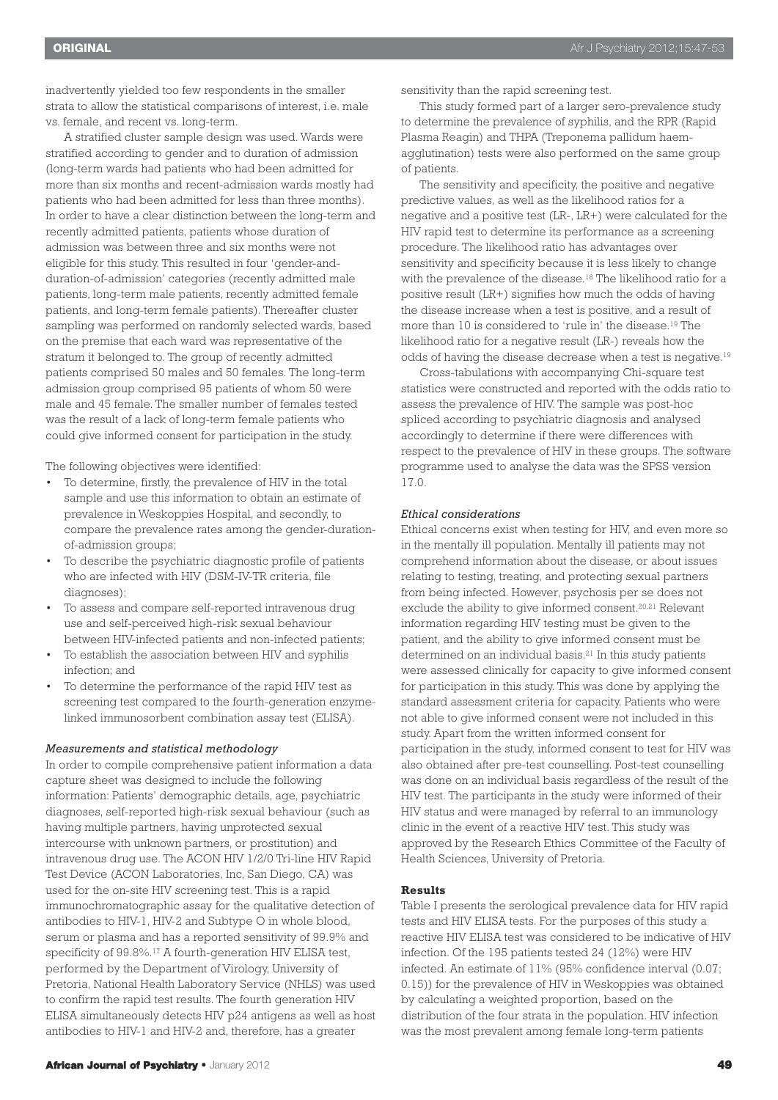inadvertently yielded too few respondents in the smaller strata to allow the statistical comparisons of interest, i.e. male vs. female, and recent vs. long-term.

A stratified cluster sample design was used. Wards were stratified according to gender and to duration of admission (long-term wards had patients who had been admitted for more than six months and recent-admission wards mostly had patients who had been admitted for less than three months). In order to have a clear distinction between the long-term and recently admitted patients, patients whose duration of admission was between three and six months were not eligible for this study. This resulted in four 'gender-andduration-of-admission' categories (recently admitted male patients, long-term male patients, recently admitted female patients, and long-term female patients). Thereafter cluster sampling was performed on randomly selected wards, based on the premise that each ward was representative of the stratum it belonged to. The group of recently admitted patients comprised 50 males and 50 females. The long-term admission group comprised 95 patients of whom 50 were male and 45 female. The smaller number of females tested was the result of a lack of long-term female patients who could give informed consent for participation in the study.

The following objectives were identified:

- To determine, firstly, the prevalence of HIV in the total sample and use this information to obtain an estimate of prevalence in Weskoppies Hospital, and secondly, to compare the prevalence rates among the gender-durationof-admission groups;
- To describe the psychiatric diagnostic profile of patients who are infected with HIV (DSM-IV-TR criteria, file diagnoses);
- To assess and compare self-reported intravenous drug use and self-perceived high-risk sexual behaviour between HIV-infected patients and non-infected patients;
- To establish the association between HIV and syphilis infection; and
- To determine the performance of the rapid HIV test as screening test compared to the fourth-generation enzymelinked immunosorbent combination assay test (ELISA).

#### *Measurements and statistical methodology*

In order to compile comprehensive patient information a data capture sheet was designed to include the following information: Patients' demographic details, age, psychiatric diagnoses, self-reported high-risk sexual behaviour (such as having multiple partners, having unprotected sexual intercourse with unknown partners, or prostitution) and intravenous drug use. The ACON HIV 1/2/0 Tri-line HIV Rapid Test Device (ACON Laboratories, Inc, San Diego, CA) was used for the on-site HIV screening test. This is a rapid immunochromatographic assay for the qualitative detection of antibodies to HIV-1, HIV-2 and Subtype O in whole blood, serum or plasma and has a reported sensitivity of 99.9% and specificity of 99.8%. <sup>17</sup> A fourth-generation HIV ELISA test, performed by the Department of Virology, University of Pretoria, National Health Laboratory Service (NHLS) was used to confirm the rapid test results. The fourth generation HIV ELISA simultaneously detects HIV p24 antigens as well as host antibodies to HIV-1 and HIV-2 and, therefore, has a greater

sensitivity than the rapid screening test.

This study formed part of a larger sero-prevalence study to determine the prevalence of syphilis, and the RPR (Rapid Plasma Reagin) and THPA (Treponema pallidum haemagglutination) tests were also performed on the same group of patients.

The sensitivity and specificity, the positive and negative predictive values, as well as the likelihood ratios for a negative and a positive test (LR-, LR+) were calculated for the HIV rapid test to determine its performance as a screening procedure. The likelihood ratio has advantages over sensitivity and specificity because it is less likely to change with the prevalence of the disease. <sup>18</sup> The likelihood ratio for a positive result (LR+) signifies how much the odds of having the disease increase when a test is positive, and a result of more than 10 is considered to 'rule in' the disease. <sup>19</sup> The likelihood ratio for a negative result (LR-) reveals how the odds of having the disease decrease when a test is negative.<sup>19</sup>

Cross-tabulations with accompanying Chi-square test statistics were constructed and reported with the odds ratio to assess the prevalence of HIV. The sample was post-hoc spliced according to psychiatric diagnosis and analysed accordingly to determine if there were differences with respect to the prevalence of HIV in these groups. The software programme used to analyse the data was the SPSS version 17.0.

#### *Ethical considerations*

Ethical concerns exist when testing for HIV, and even more so in the mentally ill population. Mentally ill patients may not comprehend information about the disease, or about issues relating to testing, treating, and protecting sexual partners from being infected. However, psychosis per se does not exclude the ability to give informed consent. 20,21 Relevant information regarding HIV testing must be given to the patient, and the ability to give informed consent must be determined on an individual basis. <sup>21</sup> In this study patients were assessed clinically for capacity to give informed consent for participation in this study. This was done by applying the standard assessment criteria for capacity. Patients who were not able to give informed consent were not included in this study. Apart from the written informed consent for participation in the study, informed consent to test for HIV was also obtained after pre-test counselling. Post-test counselling was done on an individual basis regardless of the result of the HIV test. The participants in the study were informed of their HIV status and were managed by referral to an immunology clinic in the event of a reactive HIV test. This study was approved by the Research Ethics Committee of the Faculty of Health Sciences, University of Pretoria.

#### **Results**

Table I presents the serological prevalence data for HIV rapid tests and HIV ELISA tests. For the purposes of this study a reactive HIV ELISA test was considered to be indicative of HIV infection. Of the 195 patients tested 24 (12%) were HIV infected. An estimate of 11% (95% confidence interval (0.07; 0.15)) for the prevalence of HIV in Weskoppies was obtained by calculating a weighted proportion, based on the distribution of the four strata in the population. HIV infection was the most prevalent among female long-term patients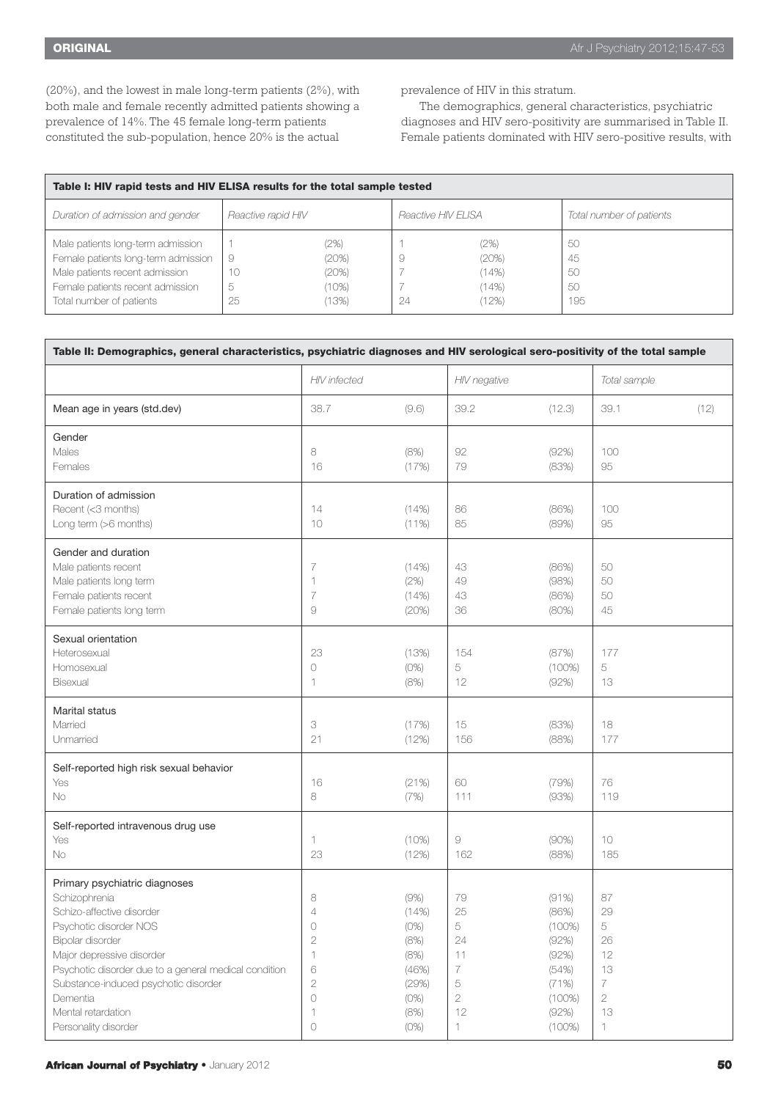(20%), and the lowest in male long-term patients (2%), with both male and female recently admitted patients showing a prevalence of 14%. The 45 female long-term patients constituted the sub-population, hence 20% is the actual

prevalence of HIV in this stratum.

The demographics, general characteristics, psychiatric diagnoses and HIV sero-positivity are summarised in Table II. Female patients dominated with HIV sero-positive results, with

| Table I: HIV rapid tests and HIV ELISA results for the total sample tested                                                                                                 |                    |                                          |                    |                                          |                             |  |  |  |  |
|----------------------------------------------------------------------------------------------------------------------------------------------------------------------------|--------------------|------------------------------------------|--------------------|------------------------------------------|-----------------------------|--|--|--|--|
| Duration of admission and gender                                                                                                                                           | Reactive rapid HIV |                                          | Reactive HIV ELISA |                                          | Total number of patients    |  |  |  |  |
| Male patients long-term admission<br>Female patients long-term admission<br>Male patients recent admission<br>Female patients recent admission<br>Total number of patients | 9<br>10<br>b<br>25 | (2%)<br>(20%)<br>(20%)<br>(10%)<br>(13%) | 24                 | (2%)<br>(20%)<br>(14%)<br>(14%)<br>(12%) | 50<br>45<br>50<br>50<br>195 |  |  |  |  |

| Table II: Demographics, general characteristics, psychiatric diagnoses and HIV serological sero-positivity of the total sample                                                                                                                                                                                    |                                                                                              |                                                                                 |                                                                |                                                                                           |                                                                                         |      |  |  |  |  |
|-------------------------------------------------------------------------------------------------------------------------------------------------------------------------------------------------------------------------------------------------------------------------------------------------------------------|----------------------------------------------------------------------------------------------|---------------------------------------------------------------------------------|----------------------------------------------------------------|-------------------------------------------------------------------------------------------|-----------------------------------------------------------------------------------------|------|--|--|--|--|
|                                                                                                                                                                                                                                                                                                                   | HIV infected                                                                                 |                                                                                 | HIV negative                                                   |                                                                                           | Total sample                                                                            |      |  |  |  |  |
| Mean age in years (std.dev)                                                                                                                                                                                                                                                                                       | 38.7                                                                                         | (9.6)                                                                           | 39.2                                                           | (12.3)                                                                                    | 39.1                                                                                    | (12) |  |  |  |  |
| Gender<br>Males<br>Females                                                                                                                                                                                                                                                                                        | 8<br>16                                                                                      | (8%)<br>(17%)                                                                   | 92<br>79                                                       | (92%)<br>(83%)                                                                            | 100<br>95                                                                               |      |  |  |  |  |
| Duration of admission<br>Recent (<3 months)<br>Long term (>6 months)                                                                                                                                                                                                                                              | 14<br>10                                                                                     | (14%)<br>(11%)                                                                  | 86<br>85                                                       | (86%)<br>(89%)                                                                            | 100<br>95                                                                               |      |  |  |  |  |
| Gender and duration<br>Male patients recent<br>Male patients long term<br>Female patients recent<br>Female patients long term                                                                                                                                                                                     | 7<br>1<br>7<br>$\Theta$                                                                      | (14%)<br>(2%)<br>(14%)<br>(20%)                                                 | 43<br>49<br>43<br>36                                           | (86%)<br>(98%)<br>(86%)<br>(80%)                                                          | 50<br>50<br>50<br>45                                                                    |      |  |  |  |  |
| Sexual orientation<br>Heterosexual<br>Homosexual<br>Bisexual                                                                                                                                                                                                                                                      | 23<br>0<br>$\mathbf 1$                                                                       | (13%)<br>(O%)<br>(8%)                                                           | 154<br>5<br>12                                                 | (87%)<br>$(100\%)$<br>(92%)                                                               | 177<br>5<br>13                                                                          |      |  |  |  |  |
| Marital status<br>Married<br>Unmarried                                                                                                                                                                                                                                                                            | 3<br>21                                                                                      | (17%)<br>(12%)                                                                  | 15<br>156                                                      | (83%)<br>(88%)                                                                            | 18<br>177                                                                               |      |  |  |  |  |
| Self-reported high risk sexual behavior<br>Yes<br>No                                                                                                                                                                                                                                                              | 16<br>8                                                                                      | (21%)<br>(7%)                                                                   | 60<br>111                                                      | (79%)<br>(93%)                                                                            | 76<br>119                                                                               |      |  |  |  |  |
| Self-reported intravenous drug use<br>Yes<br>No                                                                                                                                                                                                                                                                   | 1<br>23                                                                                      | (10%)<br>(12%)                                                                  | 9<br>162                                                       | (90%)<br>(88%)                                                                            | 10<br>185                                                                               |      |  |  |  |  |
| Primary psychiatric diagnoses<br>Schizophrenia<br>Schizo-affective disorder<br>Psychotic disorder NOS<br>Bipolar disorder<br>Major depressive disorder<br>Psychotic disorder due to a general medical condition<br>Substance-induced psychotic disorder<br>Dementia<br>Mental retardation<br>Personality disorder | 8<br>$\overline{4}$<br>0<br>$\mathfrak 2$<br>$\mathbf 1$<br>6<br>$\mathbf{2}$<br>0<br>1<br>0 | (9%)<br>(14%)<br>(0%)<br>(8%)<br>(8%)<br>(46%)<br>(29%)<br>(0%)<br>(8%)<br>(0%) | 79<br>25<br>5<br>24<br>11<br>7<br>5<br>2<br>12<br>$\mathbf{1}$ | (91%)<br>(86%)<br>(100%)<br>(92%)<br>(92%)<br>(54%)<br>(71%)<br>(100%)<br>(92%)<br>(100%) | 87<br>29<br>5<br>26<br>12<br>13<br>$\overline{7}$<br>$\mathbf{2}$<br>13<br>$\mathbf{1}$ |      |  |  |  |  |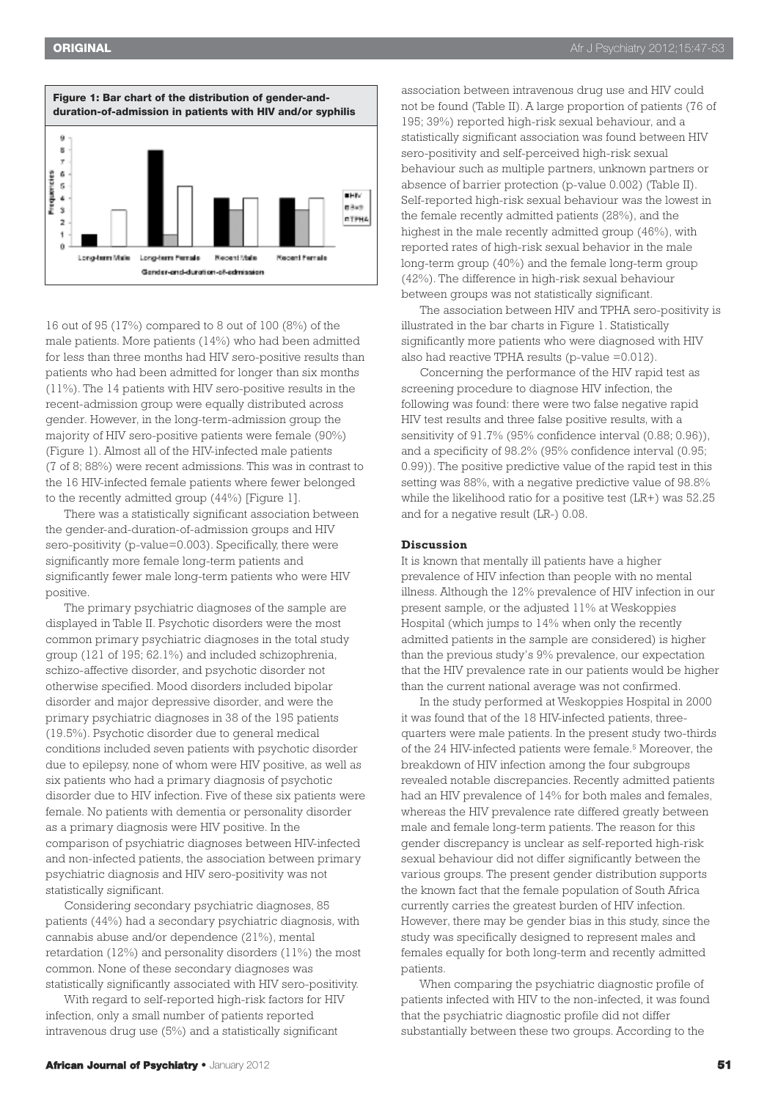

16 out of 95 (17%) compared to 8 out of 100 (8%) of the male patients. More patients (14%) who had been admitted for less than three months had HIV sero-positive results than patients who had been admitted for longer than six months (11%). The 14 patients with HIV sero-positive results in the recent-admission group were equally distributed across gender. However, in the long-term-admission group the majority of HIV sero-positive patients were female (90%) (Figure 1). Almost all of the HIV-infected male patients (7 of 8; 88%) were recent admissions. This was in contrast to the 16 HIV-infected female patients where fewer belonged to the recently admitted group (44%) [Figure 1].

There was a statistically significant association between the gender-and-duration-of-admission groups and HIV sero-positivity (p-value=0.003). Specifically, there were significantly more female long-term patients and significantly fewer male long-term patients who were HIV positive.

The primary psychiatric diagnoses of the sample are displayed in Table II. Psychotic disorders were the most common primary psychiatric diagnoses in the total study group (121 of 195; 62.1%) and included schizophrenia, schizo-affective disorder, and psychotic disorder not otherwise specified. Mood disorders included bipolar disorder and major depressive disorder, and were the primary psychiatric diagnoses in 38 of the 195 patients (19.5%). Psychotic disorder due to general medical conditions included seven patients with psychotic disorder due to epilepsy, none of whom were HIV positive, as well as six patients who had a primary diagnosis of psychotic disorder due to HIV infection. Five of these six patients were female. No patients with dementia or personality disorder as a primary diagnosis were HIV positive. In the comparison of psychiatric diagnoses between HIV-infected and non-infected patients, the association between primary psychiatric diagnosis and HIV sero-positivity was not statistically significant.

Considering secondary psychiatric diagnoses, 85 patients (44%) had a secondary psychiatric diagnosis, with cannabis abuse and/or dependence (21%), mental retardation (12%) and personality disorders (11%) the most common. None of these secondary diagnoses was statistically significantly associated with HIV sero-positivity.

With regard to self-reported high-risk factors for HIV infection, only a small number of patients reported intravenous drug use (5%) and a statistically significant

association between intravenous drug use and HIV could not be found (Table II). A large proportion of patients (76 of 195; 39%) reported high-risk sexual behaviour, and a statistically significant association was found between HIV sero-positivity and self-perceived high-risk sexual behaviour such as multiple partners, unknown partners or absence of barrier protection (p-value 0.002) (Table II). Self-reported high-risk sexual behaviour was the lowest in the female recently admitted patients (28%), and the highest in the male recently admitted group (46%), with reported rates of high-risk sexual behavior in the male long-term group (40%) and the female long-term group (42%). The difference in high-risk sexual behaviour between groups was not statistically significant.

The association between HIV and TPHA sero-positivity is illustrated in the bar charts in Figure 1. Statistically significantly more patients who were diagnosed with HIV also had reactive TPHA results (p-value =0.012).

Concerning the performance of the HIV rapid test as screening procedure to diagnose HIV infection, the following was found: there were two false negative rapid HIV test results and three false positive results, with a sensitivity of 91.7% (95% confidence interval (0.88; 0.96)), and a specificity of 98.2% (95% confidence interval (0.95; 0.99)). The positive predictive value of the rapid test in this setting was 88%, with a negative predictive value of 98.8% while the likelihood ratio for a positive test (LR+) was 52.25 and for a negative result (LR-) 0.08.

#### **Discussion**

It is known that mentally ill patients have a higher prevalence of HIV infection than people with no mental illness. Although the 12% prevalence of HIV infection in our present sample, or the adjusted 11% at Weskoppies Hospital (which jumps to 14% when only the recently admitted patients in the sample are considered) is higher than the previous study's 9% prevalence, our expectation that the HIV prevalence rate in our patients would be higher than the current national average was not confirmed.

In the study performed at Weskoppies Hospital in 2000 it was found that of the 18 HIV-infected patients, threequarters were male patients. In the present study two-thirds of the 24 HIV-infected patients were female. <sup>5</sup> Moreover, the breakdown of HIV infection among the four subgroups revealed notable discrepancies. Recently admitted patients had an HIV prevalence of 14% for both males and females, whereas the HIV prevalence rate differed greatly between male and female long-term patients. The reason for this gender discrepancy is unclear as self-reported high-risk sexual behaviour did not differ significantly between the various groups. The present gender distribution supports the known fact that the female population of South Africa currently carries the greatest burden of HIV infection. However, there may be gender bias in this study, since the study was specifically designed to represent males and females equally for both long-term and recently admitted patients.

When comparing the psychiatric diagnostic profile of patients infected with HIV to the non-infected, it was found that the psychiatric diagnostic profile did not differ substantially between these two groups. According to the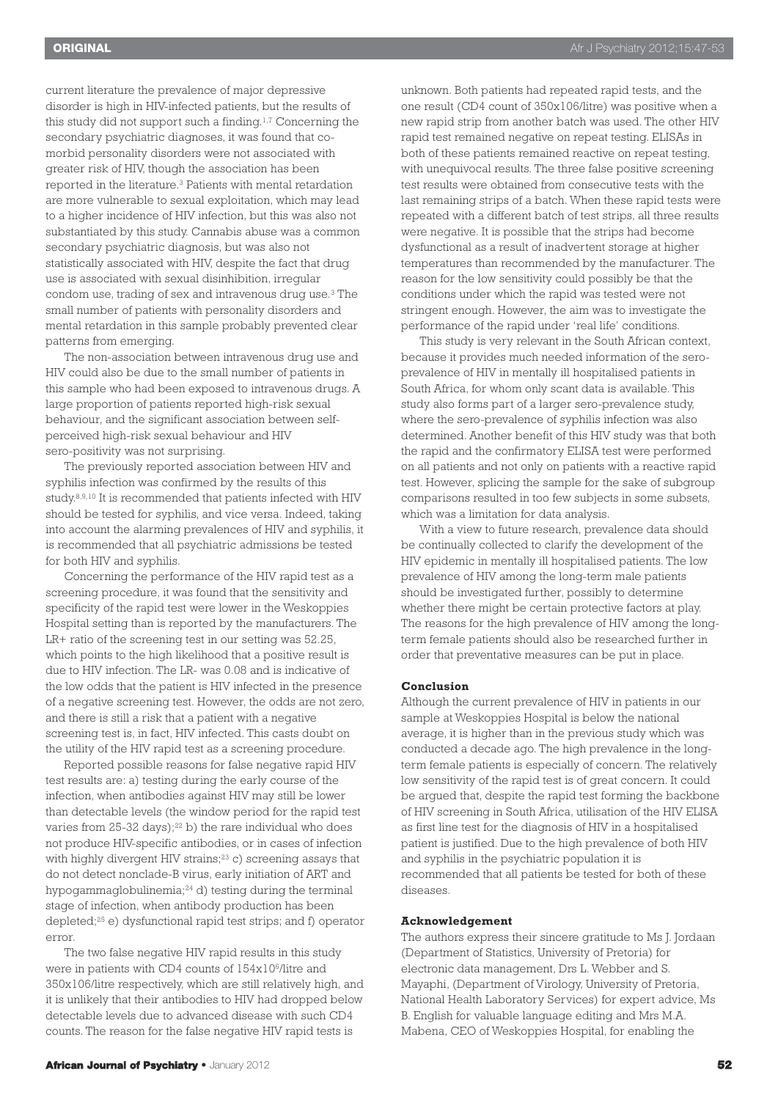current literature the prevalence of major depressive disorder is high in HIV-infected patients, but the results of this study did not support such a finding.<sup>1,7</sup> Concerning the secondary psychiatric diagnoses, it was found that comorbid personality disorders were not associated with greater risk of HIV, though the association has been reported in the literature. <sup>3</sup> Patients with mental retardation are more vulnerable to sexual exploitation, which may lead to a higher incidence of HIV infection, but this was also not substantiated by this study. Cannabis abuse was a common secondary psychiatric diagnosis, but was also not statistically associated with HIV, despite the fact that drug use is associated with sexual disinhibition, irregular condom use, trading of sex and intravenous drug use. <sup>3</sup> The small number of patients with personality disorders and mental retardation in this sample probably prevented clear patterns from emerging.

The non-association between intravenous drug use and HIV could also be due to the small number of patients in this sample who had been exposed to intravenous drugs. A large proportion of patients reported high-risk sexual behaviour, and the significant association between selfperceived high-risk sexual behaviour and HIV sero-positivity was not surprising.

The previously reported association between HIV and syphilis infection was confirmed by the results of this study. 8,9,10 It is recommended that patients infected with HIV should be tested for syphilis, and vice versa. Indeed, taking into account the alarming prevalences of HIV and syphilis, it is recommended that all psychiatric admissions be tested for both HIV and syphilis.

Concerning the performance of the HIV rapid test as a screening procedure, it was found that the sensitivity and specificity of the rapid test were lower in the Weskoppies Hospital setting than is reported by the manufacturers. The LR+ ratio of the screening test in our setting was 52.25, which points to the high likelihood that a positive result is due to HIV infection. The LR- was 0.08 and is indicative of the low odds that the patient is HIV infected in the presence of a negative screening test. However, the odds are not zero, and there is still a risk that a patient with a negative screening test is, in fact, HIV infected. This casts doubt on the utility of the HIV rapid test as a screening procedure.

Reported possible reasons for false negative rapid HIV test results are: a) testing during the early course of the infection, when antibodies against HIV may still be lower than detectable levels (the window period for the rapid test varies from 25-32 days); <sup>22</sup> b) the rare individual who does not produce HIV-specific antibodies, or in cases of infection with highly divergent HIV strains; <sup>23</sup> c) screening assays that do not detect nonclade-B virus, early initiation of ART and hypogammaglobulinemia; <sup>24</sup> d) testing during the terminal stage of infection, when antibody production has been depleted; <sup>25</sup> e) dysfunctional rapid test strips; and f) operator error.

The two false negative HIV rapid results in this study were in patients with CD4 counts of 154x10<sup>6</sup>/litre and 350x106/litre respectively, which are still relatively high, and it is unlikely that their antibodies to HIV had dropped below detectable levels due to advanced disease with such CD4 counts. The reason for the false negative HIV rapid tests is

unknown. Both patients had repeated rapid tests, and the one result (CD4 count of 350x106/litre) was positive when a new rapid strip from another batch was used. The other HIV rapid test remained negative on repeat testing. ELISAs in both of these patients remained reactive on repeat testing, with unequivocal results. The three false positive screening test results were obtained from consecutive tests with the last remaining strips of a batch. When these rapid tests were repeated with a different batch of test strips, all three results were negative. It is possible that the strips had become dysfunctional as a result of inadvertent storage at higher temperatures than recommended by the manufacturer. The reason for the low sensitivity could possibly be that the conditions under which the rapid was tested were not stringent enough. However, the aim was to investigate the performance of the rapid under 'real life' conditions.

This study is very relevant in the South African context, because it provides much needed information of the seroprevalence of HIV in mentally ill hospitalised patients in South Africa, for whom only scant data is available. This study also forms part of a larger sero-prevalence study, where the sero-prevalence of syphilis infection was also determined. Another benefit of this HIV study was that both the rapid and the confirmatory ELISA test were performed on all patients and not only on patients with a reactive rapid test. However, splicing the sample for the sake of subgroup comparisons resulted in too few subjects in some subsets, which was a limitation for data analysis.

With a view to future research, prevalence data should be continually collected to clarify the development of the HIV epidemic in mentally ill hospitalised patients. The low prevalence of HIV among the long-term male patients should be investigated further, possibly to determine whether there might be certain protective factors at play. The reasons for the high prevalence of HIV among the longterm female patients should also be researched further in order that preventative measures can be put in place.

#### **Conclusion**

Although the current prevalence of HIV in patients in our sample at Weskoppies Hospital is below the national average, it is higher than in the previous study which was conducted a decade ago. The high prevalence in the longterm female patients is especially of concern. The relatively low sensitivity of the rapid test is of great concern. It could be argued that, despite the rapid test forming the backbone of HIV screening in South Africa, utilisation of the HIV ELISA as first line test for the diagnosis of HIV in a hospitalised patient is justified. Due to the high prevalence of both HIV and syphilis in the psychiatric population it is recommended that all patients be tested for both of these diseases.

#### **Acknowledgement**

The authors express their sincere gratitude to Ms J. Jordaan (Department of Statistics, University of Pretoria) for electronic data management, Drs L. Webber and S. Mayaphi, (Department of Virology, University of Pretoria, National Health Laboratory Services) for expert advice, Ms B. English for valuable language editing and Mrs M.A. Mabena, CEO of Weskoppies Hospital, for enabling the